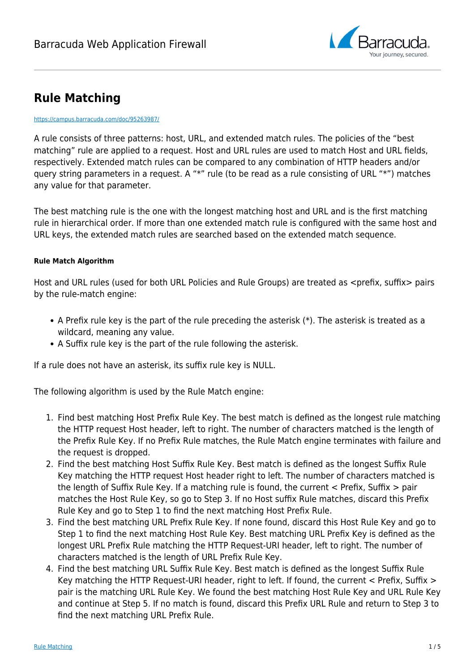

# **Rule Matching**

#### <https://campus.barracuda.com/doc/95263987/>

A rule consists of three patterns: host, URL, and extended match rules. The policies of the "best matching" rule are applied to a request. Host and URL rules are used to match Host and URL fields, respectively. Extended match rules can be compared to any combination of HTTP headers and/or query string parameters in a request. A "\*" rule (to be read as a rule consisting of URL "\*") matches any value for that parameter.

The best matching rule is the one with the longest matching host and URL and is the first matching rule in hierarchical order. If more than one extended match rule is configured with the same host and URL keys, the extended match rules are searched based on the extended match sequence.

### **Rule Match Algorithm**

Host and URL rules (used for both URL Policies and Rule Groups) are treated as <prefix, suffix> pairs by the rule-match engine:

- A Prefix rule key is the part of the rule preceding the asterisk (\*). The asterisk is treated as a wildcard, meaning any value.
- A Suffix rule key is the part of the rule following the asterisk.

If a rule does not have an asterisk, its suffix rule key is NULL.

The following algorithm is used by the Rule Match engine:

- 1. Find best matching Host Prefix Rule Key. The best match is defined as the longest rule matching the HTTP request Host header, left to right. The number of characters matched is the length of the Prefix Rule Key. If no Prefix Rule matches, the Rule Match engine terminates with failure and the request is dropped.
- 2. Find the best matching Host Suffix Rule Key. Best match is defined as the longest Suffix Rule Key matching the HTTP request Host header right to left. The number of characters matched is the length of Suffix Rule Key. If a matching rule is found, the current < Prefix, Suffix > pair matches the Host Rule Key, so go to Step 3. If no Host suffix Rule matches, discard this Prefix Rule Key and go to Step 1 to find the next matching Host Prefix Rule.
- 3. Find the best matching URL Prefix Rule Key. If none found, discard this Host Rule Key and go to Step 1 to find the next matching Host Rule Key. Best matching URL Prefix Key is defined as the longest URL Prefix Rule matching the HTTP Request-URI header, left to right. The number of characters matched is the length of URL Prefix Rule Key.
- 4. Find the best matching URL Suffix Rule Key. Best match is defined as the longest Suffix Rule Key matching the HTTP Request-URI header, right to left. If found, the current < Prefix, Suffix > pair is the matching URL Rule Key. We found the best matching Host Rule Key and URL Rule Key and continue at Step 5. If no match is found, discard this Prefix URL Rule and return to Step 3 to find the next matching URL Prefix Rule.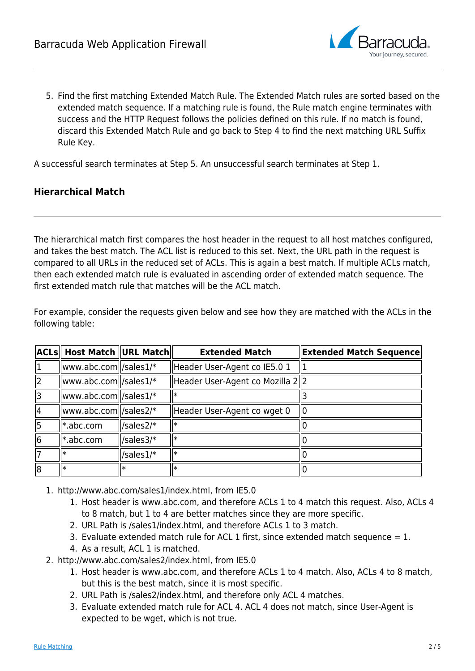

5. Find the first matching Extended Match Rule. The Extended Match rules are sorted based on the extended match sequence. If a matching rule is found, the Rule match engine terminates with success and the HTTP Request follows the policies defined on this rule. If no match is found, discard this Extended Match Rule and go back to Step 4 to find the next matching URL Suffix Rule Key.

A successful search terminates at Step 5. An unsuccessful search terminates at Step 1.

### **Hierarchical Match**

The hierarchical match first compares the host header in the request to all host matches configured, and takes the best match. The ACL list is reduced to this set. Next, the URL path in the request is compared to all URLs in the reduced set of ACLs. This is again a best match. If multiple ACLs match, then each extended match rule is evaluated in ascending order of extended match sequence. The first extended match rule that matches will be the ACL match.

For example, consider the requests given below and see how they are matched with the ACLs in the following table:

|                | <b>ACLs</b> Host Match URL Match                        |           | <b>Extended Match</b>             | <b>Extended Match Sequence</b> |
|----------------|---------------------------------------------------------|-----------|-----------------------------------|--------------------------------|
| $\overline{1}$ | $\vert\vert$ www.abc.com $\vert\vert$ /sales $1\vert^*$ |           | Header User-Agent co IE5.0 1      |                                |
| 2              | $\vert\vert$ www.abc.com $\vert\vert$ /sales1/*         |           | Header User-Agent co Mozilla 2  2 |                                |
| 3              | www.abc.com   /sales1/*                                 |           |                                   |                                |
| 4              | www.abc.com  /sales2/*                                  |           | Header User-Agent co wget 0       |                                |
| 5              | l*.abc.com                                              | /sales2/* |                                   |                                |
| 6              | l*.abc.com                                              | /sales3/* |                                   |                                |
| 17             |                                                         | /sales1/* |                                   |                                |
| 8              | ll∗                                                     |           |                                   |                                |

- 1. http://www.abc.com/sales1/index.html, from IE5.0
	- 1. Host header is www.abc.com, and therefore ACLs 1 to 4 match this request. Also, ACLs 4 to 8 match, but 1 to 4 are better matches since they are more specific.
	- 2. URL Path is /sales1/index.html, and therefore ACLs 1 to 3 match.
	- 3. Evaluate extended match rule for ACL 1 first, since extended match sequence  $= 1$ .
	- 4. As a result, ACL 1 is matched.
- 2. http://www.abc.com/sales2/index.html, from IE5.0
	- 1. Host header is www.abc.com, and therefore ACLs 1 to 4 match. Also, ACLs 4 to 8 match, but this is the best match, since it is most specific.
	- 2. URL Path is /sales2/index.html, and therefore only ACL 4 matches.
	- 3. Evaluate extended match rule for ACL 4. ACL 4 does not match, since User-Agent is expected to be wget, which is not true.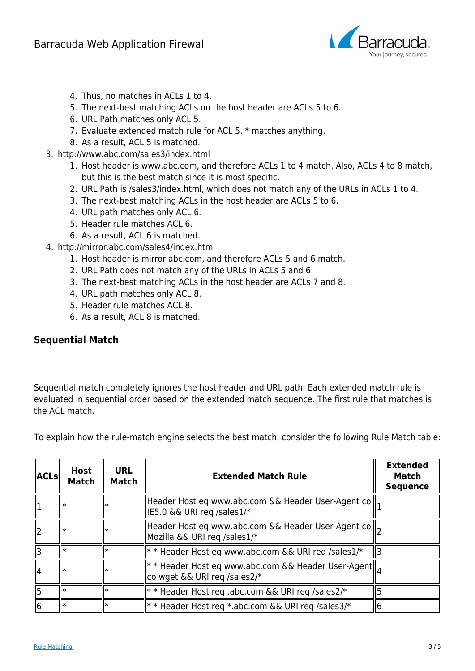

- 4. Thus, no matches in ACLs 1 to 4.
- 5. The next-best matching ACLs on the host header are ACLs 5 to 6.
- 6. URL Path matches only ACL 5.
- 7. Evaluate extended match rule for ACL 5. \* matches anything.
- 8. As a result, ACL 5 is matched.
- 3. http://www.abc.com/sales3/index.html
	- 1. Host header is www.abc.com, and therefore ACLs 1 to 4 match. Also, ACLs 4 to 8 match, but this is the best match since it is most specific.
	- 2. URL Path is /sales3/index.html, which does not match any of the URLs in ACLs 1 to 4.
	- 3. The next-best matching ACLs in the host header are ACLs 5 to 6.
	- 4. URL path matches only ACL 6.
	- 5. Header rule matches ACL 6.
	- 6. As a result, ACL 6 is matched.
- 4. http://mirror.abc.com/sales4/index.html
	- 1. Host header is mirror.abc.com, and therefore ACLs 5 and 6 match.
	- 2. URL Path does not match any of the URLs in ACLs 5 and 6.
	- 3. The next-best matching ACLs in the host header are ACLs 7 and 8.
	- 4. URL path matches only ACL 8.
	- 5. Header rule matches ACL 8.
	- 6. As a result, ACL 8 is matched.

### **Sequential Match**

Sequential match completely ignores the host header and URL path. Each extended match rule is evaluated in sequential order based on the extended match sequence. The first rule that matches is the ACL match.

To explain how the rule-match engine selects the best match, consider the following Rule Match table:

| <b>ACLs</b> | <b>Host</b><br><b>Match</b> | <b>URL</b><br><b>Match</b> | <b>Extended Match Rule</b>                                                                                                                                                                                                                                          | <b>Extended</b><br>Match<br><b>Sequence</b> |
|-------------|-----------------------------|----------------------------|---------------------------------------------------------------------------------------------------------------------------------------------------------------------------------------------------------------------------------------------------------------------|---------------------------------------------|
|             |                             |                            | Header Host eq www.abc.com && Header User-Agent co   <br>IE5.0 && URI req /sales1/*                                                                                                                                                                                 |                                             |
| 2           |                             |                            | Header Host eq www.abc.com && Header User-Agent co    <sub>2</sub><br>Mozilla && URI reg /sales1/*                                                                                                                                                                  |                                             |
| 3           |                             |                            | ** Header Host eq www.abc.com && URI req /sales1/*                                                                                                                                                                                                                  |                                             |
| 4           |                             |                            | <b>FOR A FIND READER THE EXAMPLE THE EXAMPLE THE EXAMPLE THE EXAMPLE THE EXAMPLE THE EXAMPLE THE EXAMPLE THE EXAMPLE THE EXAMPLE THE EXAMPLE THE EXAMPLE THE EXAMPLE THE EXAMPLE THE EXAMPLE THE EXAMPLE THE EXAMPLE THE EXAMPL</b><br>co wget && URI req /sales2/* |                                             |
| 5           | I∗                          |                            | ** Header Host req .abc.com && URI req /sales2/                                                                                                                                                                                                                     |                                             |
| 6           | I∗                          | $\ast$                     | ** Header Host req *.abc.com && URI req /sales3/*                                                                                                                                                                                                                   |                                             |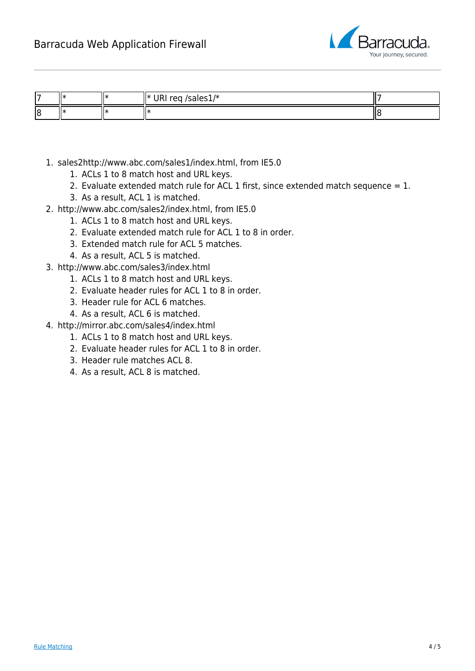

| ı — | IJж |     | /sales $1/*$<br>Ш∗<br>∽o∩.<br>11111 |  |
|-----|-----|-----|-------------------------------------|--|
| 18  | IJж | . . | . .                                 |  |

- 1. sales2http://www.abc.com/sales1/index.html, from IE5.0
	- 1. ACLs 1 to 8 match host and URL keys.
	- 2. Evaluate extended match rule for ACL 1 first, since extended match sequence  $= 1$ .
	- 3. As a result, ACL 1 is matched.
- 2. http://www.abc.com/sales2/index.html, from IE5.0
	- 1. ACLs 1 to 8 match host and URL keys.
	- 2. Evaluate extended match rule for ACL 1 to 8 in order.
	- 3. Extended match rule for ACL 5 matches.
	- 4. As a result, ACL 5 is matched.
- 3. http://www.abc.com/sales3/index.html
	- 1. ACLs 1 to 8 match host and URL keys.
	- 2. Evaluate header rules for ACL 1 to 8 in order.
	- 3. Header rule for ACL 6 matches.
	- 4. As a result, ACL 6 is matched.
- 4. http://mirror.abc.com/sales4/index.html
	- 1. ACLs 1 to 8 match host and URL keys.
	- 2. Evaluate header rules for ACL 1 to 8 in order.
	- 3. Header rule matches ACL 8.
	- 4. As a result, ACL 8 is matched.